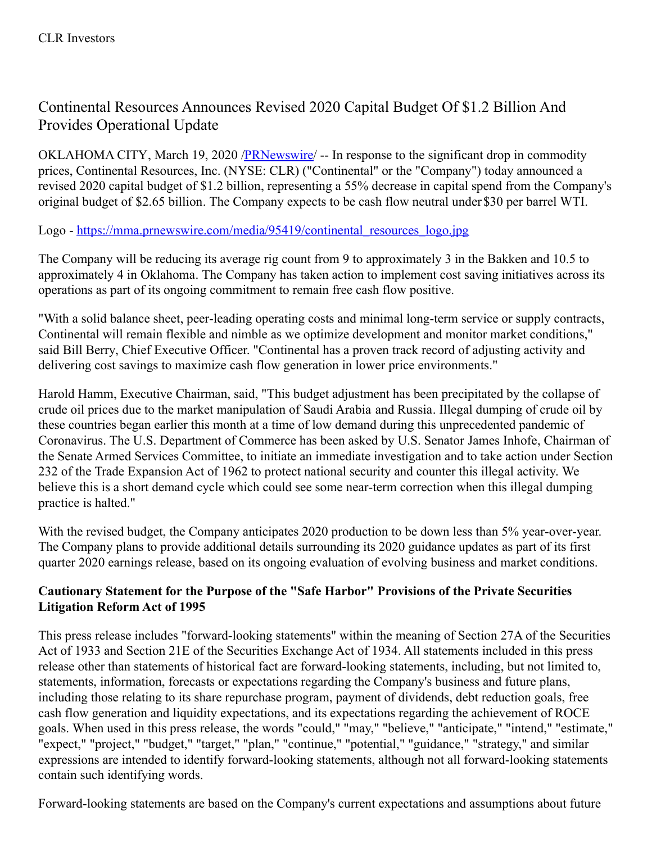## Continental Resources Announces Revised 2020 Capital Budget Of \$1.2 Billion And Provides Operational Update

OKLAHOMA CITY, March 19, 2020 [/PRNewswire](http://www.prnewswire.com/)/ -- In response to the significant drop in commodity prices, Continental Resources, Inc. (NYSE: CLR) ("Continental" or the "Company") today announced a revised 2020 capital budget of \$1.2 billion, representing a 55% decrease in capital spend from the Company's original budget of \$2.65 billion. The Company expects to be cash flow neutral under \$30 per barrel WTI.

Logo - [https://mma.prnewswire.com/media/95419/continental\\_resources\\_logo.jpg](https://c212.net/c/link/?t=0&l=en&o=2755649-1&h=2024173568&u=https%3A%2F%2Fmma.prnewswire.com%2Fmedia%2F95419%2Fcontinental_resources_logo.jpg&a=https%3A%2F%2Fmma.prnewswire.com%2Fmedia%2F95419%2Fcontinental_resources_logo.jpg)

The Company will be reducing its average rig count from 9 to approximately 3 in the Bakken and 10.5 to approximately 4 in Oklahoma. The Company has taken action to implement cost saving initiatives across its operations as part of its ongoing commitment to remain free cash flow positive.

"With a solid balance sheet, peer-leading operating costs and minimal long-term service or supply contracts, Continental will remain flexible and nimble as we optimize development and monitor market conditions," said Bill Berry, Chief Executive Officer. "Continental has a proven track record of adjusting activity and delivering cost savings to maximize cash flow generation in lower price environments."

Harold Hamm, Executive Chairman, said, "This budget adjustment has been precipitated by the collapse of crude oil prices due to the market manipulation of Saudi Arabia and Russia. Illegal dumping of crude oil by these countries began earlier this month at a time of low demand during this unprecedented pandemic of Coronavirus. The U.S. Department of Commerce has been asked by U.S. Senator James Inhofe, Chairman of the Senate Armed Services Committee, to initiate an immediate investigation and to take action under Section 232 of the Trade Expansion Act of 1962 to protect national security and counter this illegal activity. We believe this is a short demand cycle which could see some near-term correction when this illegal dumping practice is halted."

With the revised budget, the Company anticipates 2020 production to be down less than 5% year-over-year. The Company plans to provide additional details surrounding its 2020 guidance updates as part of its first quarter 2020 earnings release, based on its ongoing evaluation of evolving business and market conditions.

## **Cautionary Statement for the Purpose of the "Safe Harbor" Provisions of the Private Securities Litigation Reform Act of 1995**

This press release includes "forward-looking statements" within the meaning of Section 27A of the Securities Act of 1933 and Section 21E of the Securities Exchange Act of 1934. All statements included in this press release other than statements of historical fact are forward-looking statements, including, but not limited to, statements, information, forecasts or expectations regarding the Company's business and future plans, including those relating to its share repurchase program, payment of dividends, debt reduction goals, free cash flow generation and liquidity expectations, and its expectations regarding the achievement of ROCE goals. When used in this press release, the words "could," "may," "believe," "anticipate," "intend," "estimate," "expect," "project," "budget," "target," "plan," "continue," "potential," "guidance," "strategy," and similar expressions are intended to identify forward-looking statements, although not all forward-looking statements contain such identifying words.

Forward-looking statements are based on the Company's current expectations and assumptions about future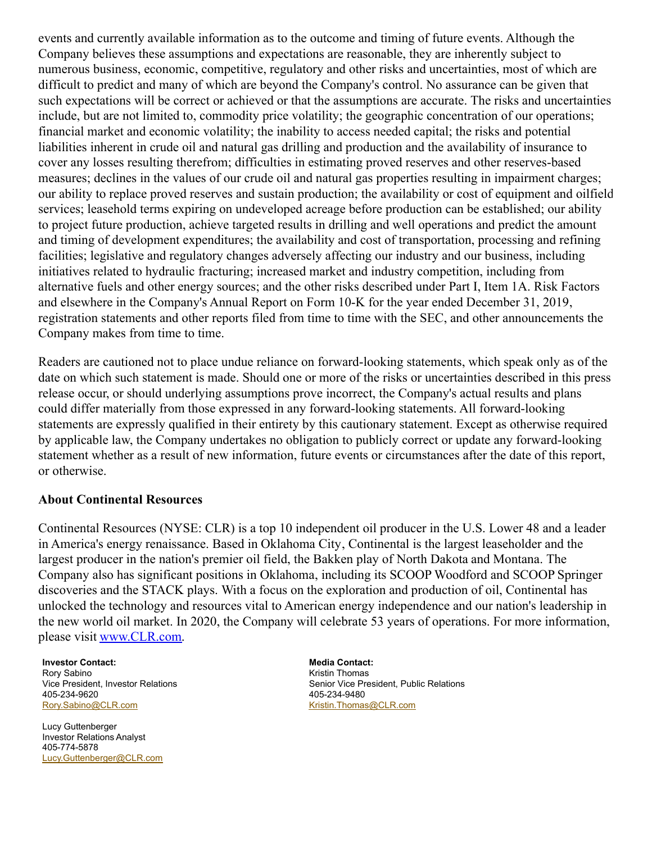events and currently available information as to the outcome and timing of future events. Although the Company believes these assumptions and expectations are reasonable, they are inherently subject to numerous business, economic, competitive, regulatory and other risks and uncertainties, most of which are difficult to predict and many of which are beyond the Company's control. No assurance can be given that such expectations will be correct or achieved or that the assumptions are accurate. The risks and uncertainties include, but are not limited to, commodity price volatility; the geographic concentration of our operations; financial market and economic volatility; the inability to access needed capital; the risks and potential liabilities inherent in crude oil and natural gas drilling and production and the availability of insurance to cover any losses resulting therefrom; difficulties in estimating proved reserves and other reserves-based measures; declines in the values of our crude oil and natural gas properties resulting in impairment charges; our ability to replace proved reserves and sustain production; the availability or cost of equipment and oilfield services; leasehold terms expiring on undeveloped acreage before production can be established; our ability to project future production, achieve targeted results in drilling and well operations and predict the amount and timing of development expenditures; the availability and cost of transportation, processing and refining facilities; legislative and regulatory changes adversely affecting our industry and our business, including initiatives related to hydraulic fracturing; increased market and industry competition, including from alternative fuels and other energy sources; and the other risks described under Part I, Item 1A. Risk Factors and elsewhere in the Company's Annual Report on Form 10-K for the year ended December 31, 2019, registration statements and other reports filed from time to time with the SEC, and other announcements the Company makes from time to time.

Readers are cautioned not to place undue reliance on forward-looking statements, which speak only as of the date on which such statement is made. Should one or more of the risks or uncertainties described in this press release occur, or should underlying assumptions prove incorrect, the Company's actual results and plans could differ materially from those expressed in any forward-looking statements. All forward-looking statements are expressly qualified in their entirety by this cautionary statement. Except as otherwise required by applicable law, the Company undertakes no obligation to publicly correct or update any forward-looking statement whether as a result of new information, future events or circumstances after the date of this report, or otherwise.

## **About Continental Resources**

Continental Resources (NYSE: CLR) is a top 10 independent oil producer in the U.S. Lower 48 and a leader in America's energy renaissance. Based in Oklahoma City, Continental is the largest leaseholder and the largest producer in the nation's premier oil field, the Bakken play of North Dakota and Montana. The Company also has significant positions in Oklahoma, including its SCOOP Woodford and SCOOP Springer discoveries and the STACK plays. With a focus on the exploration and production of oil, Continental has unlocked the technology and resources vital to American energy independence and our nation's leadership in the new world oil market. In 2020, the Company will celebrate 53 years of operations. For more information, please visit [www.CLR.com](https://c212.net/c/link/?t=0&l=en&o=2755649-1&h=2093879309&u=http%3A%2F%2Fwww.clr.com%2F&a=www.CLR.com).

**Investor Contact: Media Contact: Media Contact:** Rory Sabino **Kristin Thomas Kristin Thomas Kristin Thomas** 405-234-9620 405-234-9480 [Rory.Sabino@CLR.com](mailto:Rory.Sabino@CLR.com) **[Kristin.Thomas@CLR.com](mailto:Kristin.Thomas@CLR.com)** Kristin.Thomas@CLR.com

Lucy Guttenberger Investor Relations Analyst 405-774-5878 [Lucy.Guttenberger@CLR.com](mailto:Lucy.Guttenberger@CLR.com)

Vice President, Investor Relations Senior Vice President, Public Relations Senior Vice President, Public Relations